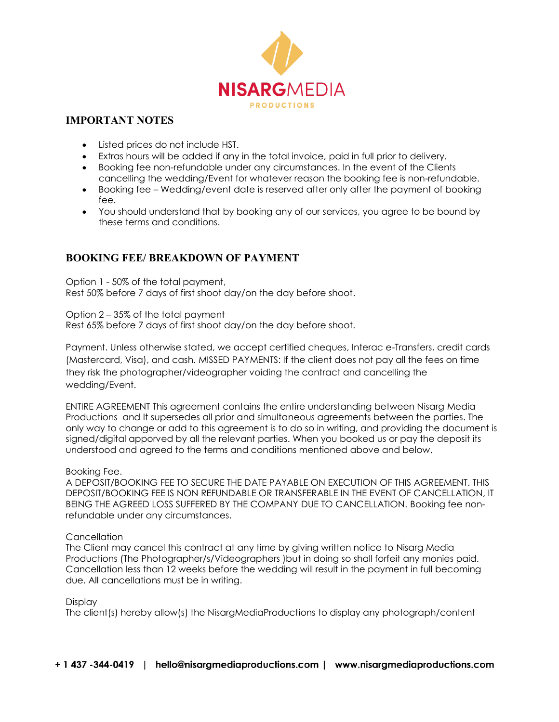

## **IMPORTANT NOTES**

- Listed prices do not include HST.
- Extras hours will be added if any in the total invoice, paid in full prior to delivery.
- Booking fee non-refundable under any circumstances. In the event of the Clients cancelling the wedding/Event for whatever reason the booking fee is non-refundable.
- Booking fee Wedding/event date is reserved after only after the payment of booking fee.
- You should understand that by booking any of our services, you agree to be bound by these terms and conditions.

# **BOOKING FEE/ BREAKDOWN OF PAYMENT**

Option 1 - 50% of the total payment, Rest 50% before 7 days of first shoot day/on the day before shoot.

Option 2 – 35% of the total payment Rest 65% before 7 days of first shoot day/on the day before shoot.

Payment. Unless otherwise stated, we accept certified cheques, Interac e-Transfers, credit cards (Mastercard, Visa), and cash. MISSED PAYMENTS: If the client does not pay all the fees on time they risk the photographer/videographer voiding the contract and cancelling the wedding/Event.

ENTIRE AGREEMENT This agreement contains the entire understanding between Nisarg Media Productions and It supersedes all prior and simultaneous agreements between the parties. The only way to change or add to this agreement is to do so in writing, and providing the document is signed/digital apporved by all the relevant parties. When you booked us or pay the deposit its understood and agreed to the terms and conditions mentioned above and below.

### Booking Fee.

A DEPOSIT/BOOKING FEE TO SECURE THE DATE PAYABLE ON EXECUTION OF THIS AGREEMENT. THIS DEPOSIT/BOOKING FEE IS NON REFUNDABLE OR TRANSFERABLE IN THE EVENT OF CANCELLATION, IT BEING THE AGREED LOSS SUFFERED BY THE COMPANY DUE TO CANCELLATION. Booking fee nonrefundable under any circumstances.

### **Cancellation**

The Client may cancel this contract at any time by giving written notice to Nisarg Media Productions (The Photographer/s/Videographers )but in doing so shall forfeit any monies paid. Cancellation less than 12 weeks before the wedding will result in the payment in full becoming due. All cancellations must be in writing.

### Display

The client(s) hereby allow(s) the NisargMediaProductions to display any photograph/content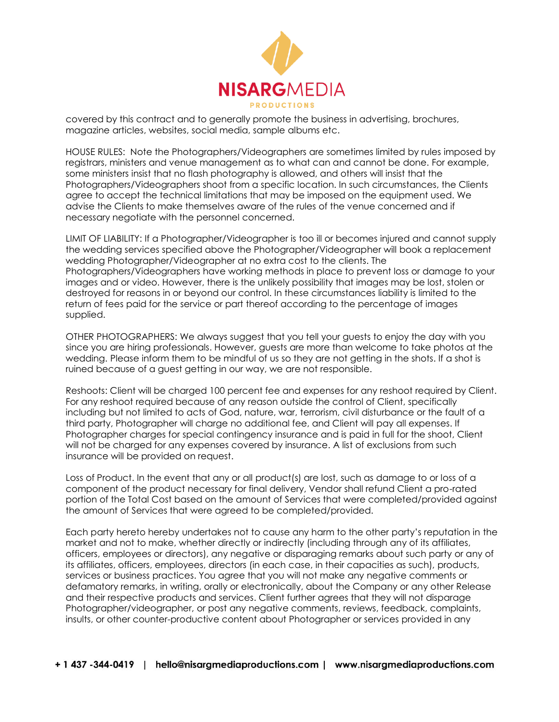

covered by this contract and to generally promote the business in advertising, brochures, magazine articles, websites, social media, sample albums etc.

HOUSE RULES: Note the Photographers/Videographers are sometimes limited by rules imposed by registrars, ministers and venue management as to what can and cannot be done. For example, some ministers insist that no flash photography is allowed, and others will insist that the Photographers/Videographers shoot from a specific location. In such circumstances, the Clients agree to accept the technical limitations that may be imposed on the equipment used. We advise the Clients to make themselves aware of the rules of the venue concerned and if necessary negotiate with the personnel concerned.

LIMIT OF LIABILITY: If a Photographer/Videographer is too ill or becomes injured and cannot supply the wedding services specified above the Photographer/Videographer will book a replacement wedding Photographer/Videographer at no extra cost to the clients. The Photographers/Videographers have working methods in place to prevent loss or damage to your images and or video. However, there is the unlikely possibility that images may be lost, stolen or destroyed for reasons in or beyond our control. In these circumstances liability is limited to the return of fees paid for the service or part thereof according to the percentage of images supplied.

OTHER PHOTOGRAPHERS: We always suggest that you tell your guests to enjoy the day with you since you are hiring professionals. However, guests are more than welcome to take photos at the wedding. Please inform them to be mindful of us so they are not getting in the shots. If a shot is ruined because of a guest getting in our way, we are not responsible.

Reshoots: Client will be charged 100 percent fee and expenses for any reshoot required by Client. For any reshoot required because of any reason outside the control of Client, specifically including but not limited to acts of God, nature, war, terrorism, civil disturbance or the fault of a third party, Photographer will charge no additional fee, and Client will pay all expenses. If Photographer charges for special contingency insurance and is paid in full for the shoot, Client will not be charged for any expenses covered by insurance. A list of exclusions from such insurance will be provided on request.

Loss of Product. In the event that any or all product(s) are lost, such as damage to or loss of a component of the product necessary for final delivery, Vendor shall refund Client a pro-rated portion of the Total Cost based on the amount of Services that were completed/provided against the amount of Services that were agreed to be completed/provided.

Each party hereto hereby undertakes not to cause any harm to the other party's reputation in the market and not to make, whether directly or indirectly (including through any of its affiliates, officers, employees or directors), any negative or disparaging remarks about such party or any of its affiliates, officers, employees, directors (in each case, in their capacities as such), products, services or business practices. You agree that you will not make any negative comments or defamatory remarks, in writing, orally or electronically, about the Company or any other Release and their respective products and services. Client further agrees that they will not disparage Photographer/videographer, or post any negative comments, reviews, feedback, complaints, insults, or other counter-productive content about Photographer or services provided in any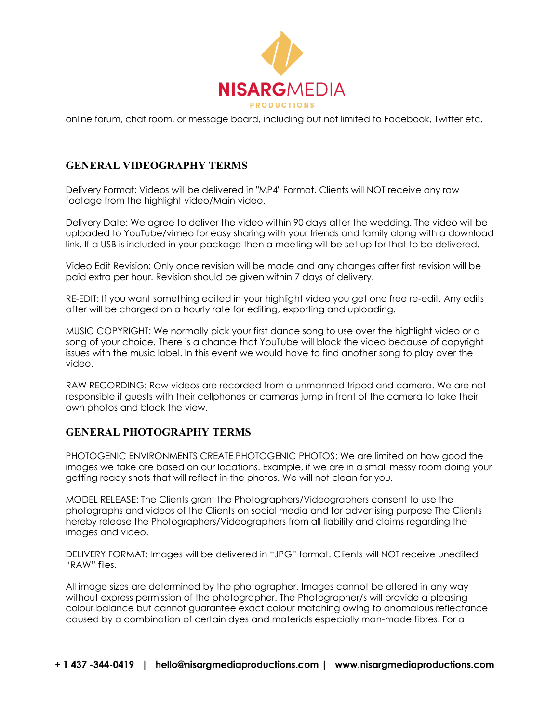

online forum, chat room, or message board, including but not limited to Facebook, Twitter etc.

# **GENERAL VIDEOGRAPHY TERMS**

Delivery Format: Videos will be delivered in "MP4" Format. Clients will NOT receive any raw footage from the highlight video/Main video.

Delivery Date: We agree to deliver the video within 90 days after the wedding. The video will be uploaded to YouTube/vimeo for easy sharing with your friends and family along with a download link. If a USB is included in your package then a meeting will be set up for that to be delivered.

Video Edit Revision: Only once revision will be made and any changes after first revision will be paid extra per hour. Revision should be given within 7 days of delivery.

RE-EDIT: If you want something edited in your highlight video you get one free re-edit. Any edits after will be charged on a hourly rate for editing, exporting and uploading.

MUSIC COPYRIGHT: We normally pick your first dance song to use over the highlight video or a song of your choice. There is a chance that YouTube will block the video because of copyright issues with the music label. In this event we would have to find another song to play over the video.

RAW RECORDING: Raw videos are recorded from a unmanned tripod and camera. We are not responsible if guests with their cellphones or cameras jump in front of the camera to take their own photos and block the view.

## **GENERAL PHOTOGRAPHY TERMS**

PHOTOGENIC ENVIRONMENTS CREATE PHOTOGENIC PHOTOS: We are limited on how good the images we take are based on our locations. Example, if we are in a small messy room doing your getting ready shots that will reflect in the photos. We will not clean for you.

MODEL RELEASE: The Clients grant the Photographers/Videographers consent to use the photographs and videos of the Clients on social media and for advertising purpose The Clients hereby release the Photographers/Videographers from all liability and claims regarding the images and video.

DELIVERY FORMAT: Images will be delivered in "JPG" format. Clients will NOT receive unedited "RAW" files.

All image sizes are determined by the photographer. Images cannot be altered in any way without express permission of the photographer. The Photographer/s will provide a pleasing colour balance but cannot guarantee exact colour matching owing to anomalous reflectance caused by a combination of certain dyes and materials especially man-made fibres. For a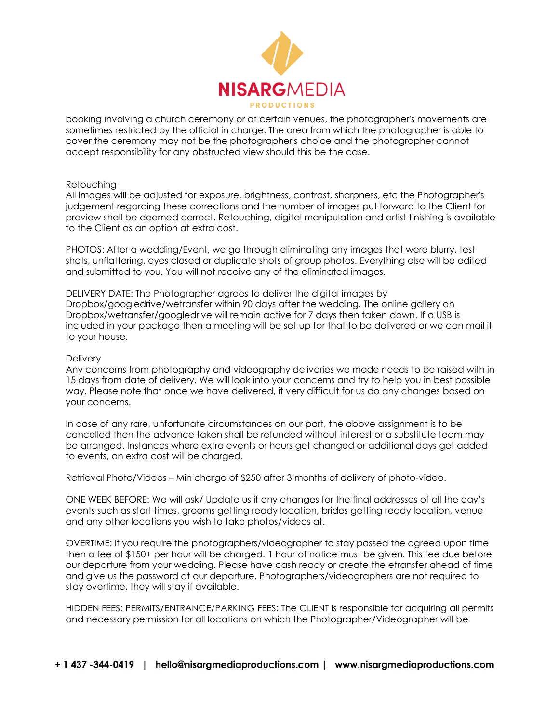

booking involving a church ceremony or at certain venues, the photographer's movements are sometimes restricted by the official in charge. The area from which the photographer is able to cover the ceremony may not be the photographer's choice and the photographer cannot accept responsibility for any obstructed view should this be the case.

### **Retouching**

All images will be adjusted for exposure, brightness, contrast, sharpness, etc the Photographer's judgement regarding these corrections and the number of images put forward to the Client for preview shall be deemed correct. Retouching, digital manipulation and artist finishing is available to the Client as an option at extra cost.

PHOTOS: After a wedding/Event, we go through eliminating any images that were blurry, test shots, unflattering, eyes closed or duplicate shots of group photos. Everything else will be edited and submitted to you. You will not receive any of the eliminated images.

DELIVERY DATE: The Photographer agrees to deliver the digital images by Dropbox/googledrive/wetransfer within 90 days after the wedding. The online gallery on Dropbox/wetransfer/googledrive will remain active for 7 days then taken down. If a USB is included in your package then a meeting will be set up for that to be delivered or we can mail it to your house.

#### **Delivery**

Any concerns from photography and videography deliveries we made needs to be raised with in 15 days from date of delivery. We will look into your concerns and try to help you in best possible way. Please note that once we have delivered, it very difficult for us do any changes based on your concerns.

In case of any rare, unfortunate circumstances on our part, the above assignment is to be cancelled then the advance taken shall be refunded without interest or a substitute team may be arranged. Instances where extra events or hours get changed or additional days get added to events, an extra cost will be charged.

Retrieval Photo/Videos – Min charge of \$250 after 3 months of delivery of photo-video.

ONE WEEK BEFORE: We will ask/ Update us if any changes for the final addresses of all the day's events such as start times, grooms getting ready location, brides getting ready location, venue and any other locations you wish to take photos/videos at.

OVERTIME: If you require the photographers/videographer to stay passed the agreed upon time then a fee of \$150+ per hour will be charged. 1 hour of notice must be given. This fee due before our departure from your wedding. Please have cash ready or create the etransfer ahead of time and give us the password at our departure. Photographers/videographers are not required to stay overtime, they will stay if available.

HIDDEN FEES: PERMITS/ENTRANCE/PARKING FEES: The CLIENT is responsible for acquiring all permits and necessary permission for all locations on which the Photographer/Videographer will be